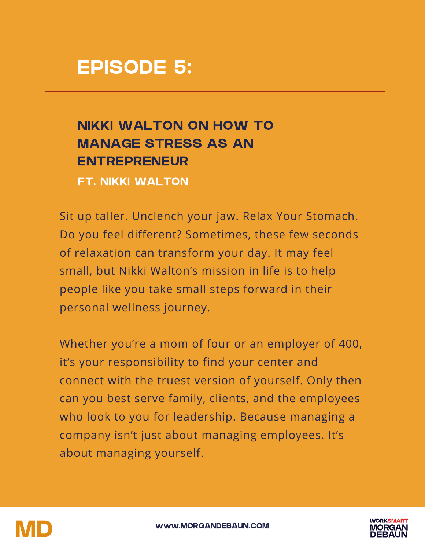

## NIKKI WALTON ON HOW TO MANAGE STRESS AS AN ENTREPRENEUR

FT. NIKKI WALTON

Sit up taller. Unclench your jaw. Relax Your Stomach. Do you feel different? Sometimes, these few seconds of relaxation can transform your day. It may feel small, but Nikki Walton's mission in life is to help people like you take small steps forward in their personal wellness journey.

Whether you're a mom of four or an employer of 400, it's your responsibility to find your center and connect with the truest version of yourself. Only then can you best serve family, clients, and the employees who look to you for leadership. Because managing a company isn't just about managing employees. It's about managing yourself.





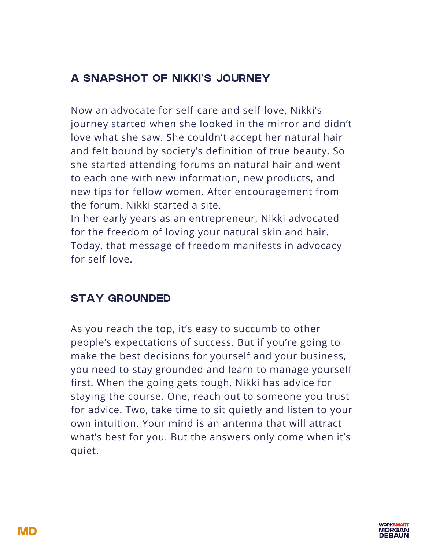#### A SNAPSHOT OF NIKKI'S JOURNEY

Now an advocate for self-care and self-love, Nikki's journey started when she looked in the mirror and didn't love what she saw. She couldn't accept her natural hair and felt bound by society's definition of true beauty. So she started attending forums on natural hair and went to each one with new information, new products, and new tips for fellow women. After encouragement from the forum, Nikki started a site.

In her early years as an entrepreneur, Nikki advocated for the freedom of loving your natural skin and hair. Today, that message of freedom manifests in advocacy for self-love.

#### STAY GROUNDED

As you reach the top, it's easy to succumb to other people's expectations of success. But if you're going to make the best decisions for yourself and your business, you need to stay grounded and learn to manage yourself first. When the going gets tough, Nikki has advice for staying the course. One, reach out to someone you trust for advice. Two, take time to sit quietly and listen to your own intuition. Your mind is an antenna that will attract what's best for you. But the answers only come when it's quiet.

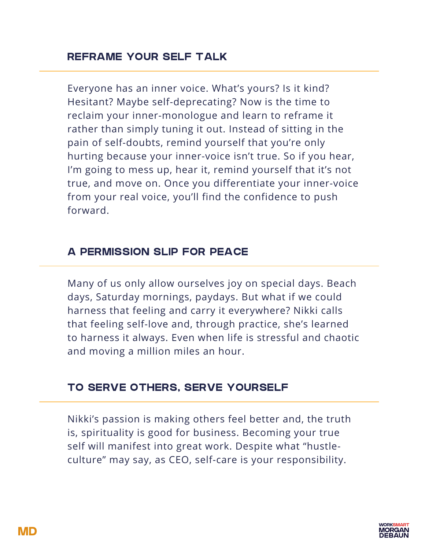Everyone has an inner voice. What's yours? Is it kind? Hesitant? Maybe self-deprecating? Now is the time to reclaim your inner-monologue and learn to reframe it rather than simply tuning it out. Instead of sitting in the pain of self-doubts, remind yourself that you're only hurting because your inner-voice isn't true. So if you hear, I'm going to mess up, hear it, remind yourself that it's not true, and move on. Once you differentiate your inner-voice from your real voice, you'll find the confidence to push forward.

## A PERMISSION SLIP FOR PEACE

Many of us only allow ourselves joy on special days. Beach days, Saturday mornings, paydays. But what if we could harness that feeling and carry it everywhere? Nikki calls that feeling self-love and, through practice, she's learned to harness it always. Even when life is stressful and chaotic and moving a million miles an hour.

## TO SERVE OTHERS, SERVE YOURSELF

Nikki's passion is making others feel better and, the truth is, spirituality is good for business. Becoming your true self will manifest into great work. Despite what "hustleculture" may say, as CEO, self-care is your responsibility.

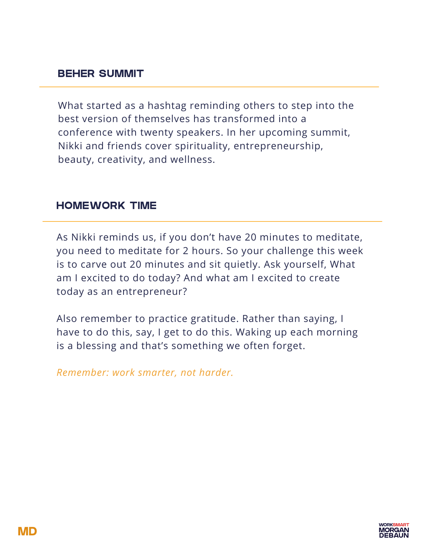#### BEHER SUMMIT

What started as a hashtag reminding others to step into the best version of themselves has transformed into a conference with twenty speakers. In her upcoming summit, Nikki and friends cover spirituality, entrepreneurship, beauty, creativity, and wellness.

#### HOMEWORK TIME

As Nikki reminds us, if you don't have 20 minutes to meditate, you need to meditate for 2 hours. So your challenge this week is to carve out 20 minutes and sit quietly. Ask yourself, What am I excited to do today? And what am I excited to create today as an entrepreneur?

Also remember to practice gratitude. Rather than saying, I have to do this, say, I get to do this. Waking up each morning is a blessing and that's something we often forget.

*Remember: work smarter, not harder.*